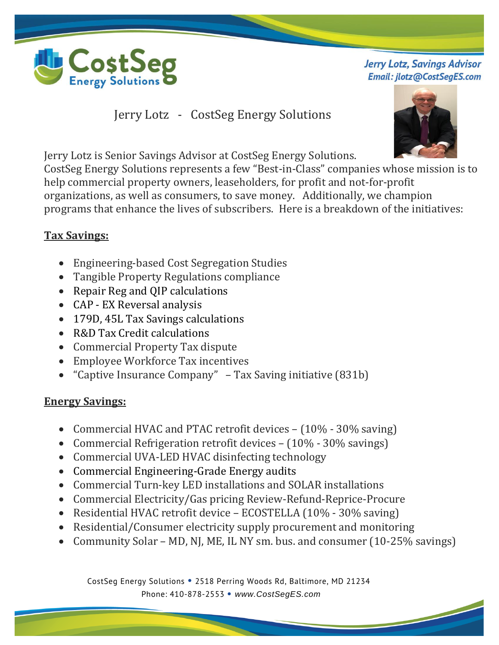

**Jerry Lotz, Savings Advisor** Email: jlotz@CostSegES.com

Jerry Lotz - CostSeg Energy Solutions

Jerry Lotz is Senior Savings Advisor at CostSeg Energy Solutions.

CostSeg Energy Solutions represents a few "Best-in-Class" companies whose mission is to help commercial property owners, leaseholders, for profit and not-for-profit organizations, as well as consumers, to save money. Additionally, we champion programs that enhance the lives of subscribers. Here is a breakdown of the initiatives:

## **Tax Savings:**

- Engineering-based Cost Segregation Studies
- Tangible Property Regulations compliance
- Repair Reg and QIP calculations
- CAP EX Reversal analysis
- 179D, 45L Tax Savings calculations
- R&D Tax Credit calculations
- Commercial Property Tax dispute
- Employee Workforce Tax incentives
- "Captive Insurance Company" Tax Saving initiative (831b)

## **Energy Savings:**

- Commercial HVAC and PTAC retrofit devices (10% 30% saving)
- Commercial Refrigeration retrofit devices (10% 30% savings)
- Commercial UVA-LED HVAC disinfecting technology
- Commercial Engineering-Grade Energy audits
- Commercial Turn-key LED installations and SOLAR installations
- Commercial Electricity/Gas pricing Review-Refund-Reprice-Procure
- Residential HVAC retrofit device ECOSTELLA (10% 30% saving)
- Residential/Consumer electricity supply procurement and monitoring
- Community Solar MD, NJ, ME, IL NY sm. bus. and consumer (10-25% savings)

 CostSeg Energy Solutions **•** 2518 Perring Woods Rd, Baltimore, MD 21234 Phone: 410-878-2553 **•** *www.CostSegES.com*